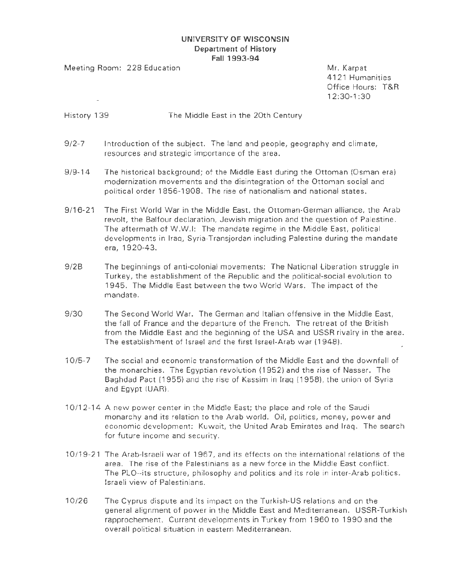## **UNIVERSITY OF WISCONSIN Department of History Fall 1993-94**

Meeting Room: 228 Education Mr. Karpat

41 21 Humanities Office Hours: T&R 12:30-1:30

### History 139 The Middle East in the 20th Century

- 9/2-7 Introduction of the subject. The land and people, geography and climate, resources and strategic importance of the area.
- 9/9-14 The historical background; of the Middle East during the Ottoman (Osman era) modernization movements and the disintegration of the Ottoman social and political order 1856-1908. The rise of nationalism and national states.
- 9/16-21 The First World War in the Middle East, the Ottoman-German alliance, the Arab revolt, the Balfour declaration, Jewish migration and the question of Palestine. The aftermath of W.W.I: The mandate regime in the Middle East, political developments in Iraq, Syria-Transjordan including Palestine during the mandate era, 1920-43.
- 9/28 The beginnings of anti-colonial movements: The National Liberation struggle in Turkey, the establishment of the Republic and the political-social evolution to 1945. The Middle East between the two World Wars. The impact of the mandate.
- 9/30 The Second World War. The German and Italian offensive in the Middle East, the fall of France and the departure of the French. The retreat of the British from the Middle East and the beginning of the USA and USSR rivalry in the area. The establishment of Israel and the first Israel-Arab war ( 1948).
- 1 0/5-7 The social and economic transformation of the Middle East and the downfall of the monarchies. The Egyptian revolution (1952) and the rise of Nasser. The Baghdad Pact (1955) and the rise of Kassim in Iraq (1958), the union of Syria and Egypt (UAR).
- 1 0/1 2-14 A new power center in the Middle East; the place and role of the Saudi monarchy and its relation to the Arab world. Oil, politics, money, power and economic development: Kuwait, the United Arab Emirates and Iraq. The search for future income and security.
- 10/ 19-21 The Arab-Israeli war of 1967, and its effects on the international relations of the area. The rise of the Palestinians as a new force in the Middle East conflict. The PLO--its structure, philosophy and politics and its role in inter-Arab politics. Israeli view of Palestinians.
- 10/26 The Cyprus dispute and its impact on the Turkish-US relations and on the general alignment of power in the Middle East and Mediterranean. USSR-Turkish rapprochement. Current developments in Turkey from 1 960 to 1 990 and the overall political situation in eastern Mediterranean.